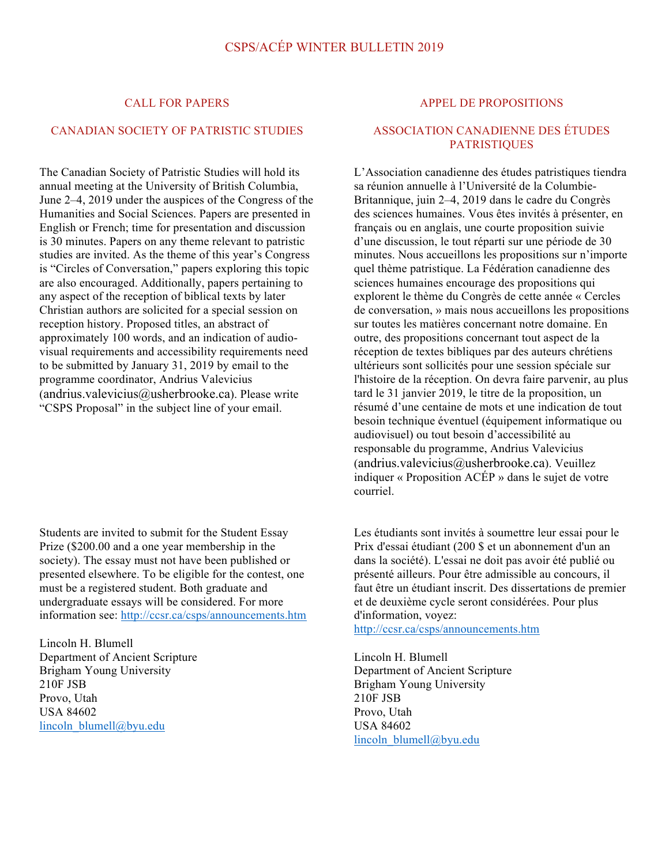#### CALL FOR PAPERS

#### CANADIAN SOCIETY OF PATRISTIC STUDIES

The Canadian Society of Patristic Studies will hold its annual meeting at the University of British Columbia, June 2–4, 2019 under the auspices of the Congress of the Humanities and Social Sciences. Papers are presented in English or French; time for presentation and discussion is 30 minutes. Papers on any theme relevant to patristic studies are invited. As the theme of this year's Congress is "Circles of Conversation," papers exploring this topic are also encouraged. Additionally, papers pertaining to any aspect of the reception of biblical texts by later Christian authors are solicited for a special session on reception history. Proposed titles, an abstract of approximately 100 words, and an indication of audiovisual requirements and accessibility requirements need to be submitted by January 31, 2019 by email to the programme coordinator, Andrius Valevicius (andrius.valevicius@usherbrooke.ca). Please write "CSPS Proposal" in the subject line of your email.

Students are invited to submit for the Student Essay Prize (\$200.00 and a one year membership in the society). The essay must not have been published or presented elsewhere. To be eligible for the contest, one must be a registered student. Both graduate and undergraduate essays will be considered. For more information see: http://ccsr.ca/csps/announcements.htm

Lincoln H. Blumell Department of Ancient Scripture Brigham Young University 210F JSB Provo, Utah USA 84602 lincoln\_blumell@byu.edu

#### APPEL DE PROPOSITIONS

#### ASSOCIATION CANADIENNE DES ÉTUDES **PATRISTIQUES**

L'Association canadienne des études patristiques tiendra sa réunion annuelle à l'Université de la Columbie-Britannique, juin 2–4, 2019 dans le cadre du Congrès des sciences humaines. Vous êtes invités à présenter, en français ou en anglais, une courte proposition suivie d'une discussion, le tout réparti sur une période de 30 minutes. Nous accueillons les propositions sur n'importe quel thème patristique. La Fédération canadienne des sciences humaines encourage des propositions qui explorent le thème du Congrès de cette année « Cercles de conversation, » mais nous accueillons les propositions sur toutes les matières concernant notre domaine. En outre, des propositions concernant tout aspect de la réception de textes bibliques par des auteurs chrétiens ultérieurs sont sollicités pour une session spéciale sur l'histoire de la réception. On devra faire parvenir, au plus tard le 31 janvier 2019, le titre de la proposition, un résumé d'une centaine de mots et une indication de tout besoin technique éventuel (équipement informatique ou audiovisuel) ou tout besoin d'accessibilité au responsable du programme, Andrius Valevicius (andrius.valevicius@usherbrooke.ca). Veuillez indiquer « Proposition ACÉP » dans le sujet de votre courriel.

Les étudiants sont invités à soumettre leur essai pour le Prix d'essai étudiant (200 \$ et un abonnement d'un an dans la société). L'essai ne doit pas avoir été publié ou présenté ailleurs. Pour être admissible au concours, il faut être un étudiant inscrit. Des dissertations de premier et de deuxième cycle seront considérées. Pour plus d'information, voyez:

http://ccsr.ca/csps/announcements.htm

Lincoln H. Blumell Department of Ancient Scripture Brigham Young University 210F JSB Provo, Utah USA 84602 lincoln\_blumell@byu.edu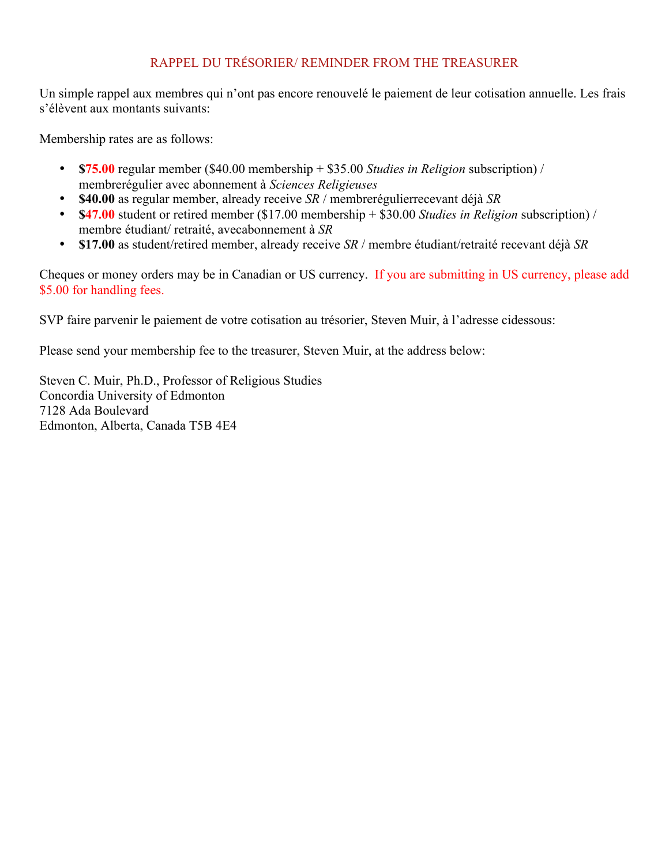## RAPPEL DU TRÉSORIER/ REMINDER FROM THE TREASURER

Un simple rappel aux membres qui n'ont pas encore renouvelé le paiement de leur cotisation annuelle. Les frais s'élèvent aux montants suivants:

Membership rates are as follows:

- **\$75.00** regular member (\$40.00 membership + \$35.00 *Studies in Religion* subscription) / membrerégulier avec abonnement à *Sciences Religieuses*
- **\$40.00** as regular member, already receive *SR* / membrerégulierrecevant déjà *SR*
- **\$47.00** student or retired member (\$17.00 membership + \$30.00 *Studies in Religion* subscription) / membre étudiant/ retraité, avecabonnement à *SR*
- **\$17.00** as student/retired member, already receive *SR* / membre étudiant/retraité recevant déjà *SR*

Cheques or money orders may be in Canadian or US currency. If you are submitting in US currency, please add \$5.00 for handling fees.

SVP faire parvenir le paiement de votre cotisation au trésorier, Steven Muir, à l'adresse cidessous:

Please send your membership fee to the treasurer, Steven Muir, at the address below:

Steven C. Muir, Ph.D., Professor of Religious Studies Concordia University of Edmonton 7128 Ada Boulevard Edmonton, Alberta, Canada T5B 4E4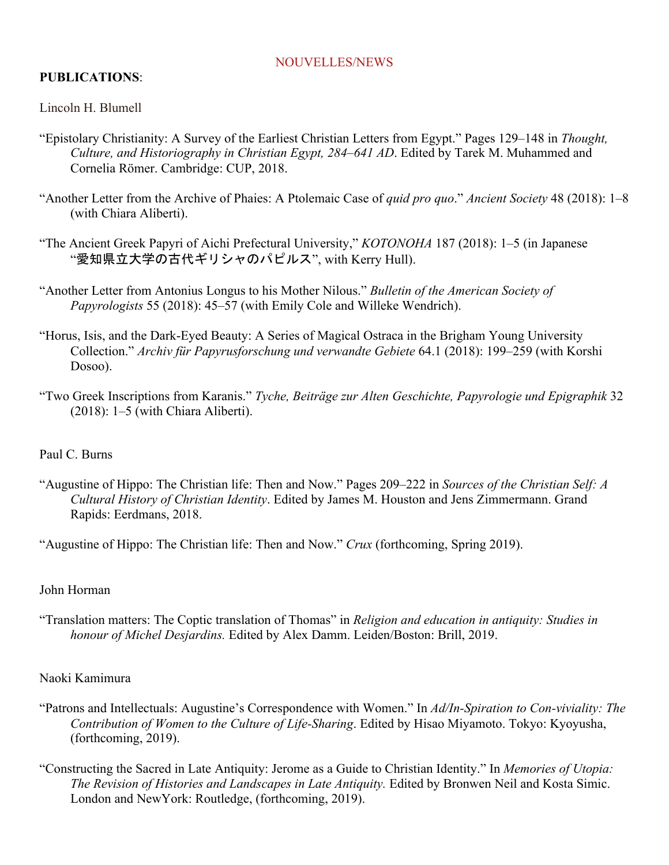#### NOUVELLES/NEWS

# **PUBLICATIONS**:

Lincoln H. Blumell

- "Epistolary Christianity: A Survey of the Earliest Christian Letters from Egypt." Pages 129–148 in *Thought, Culture, and Historiography in Christian Egypt, 284–641 AD*. Edited by Tarek M. Muhammed and Cornelia Römer. Cambridge: CUP, 2018.
- "Another Letter from the Archive of Phaies: A Ptolemaic Case of *quid pro quo*." *Ancient Society* 48 (2018): 1–8 (with Chiara Aliberti).
- "The Ancient Greek Papyri of Aichi Prefectural University," *KOTONOHA* 187 (2018): 1–5 (in Japanese "愛知県立大学の古代ギリシャのパピルス", with Kerry Hull).
- "Another Letter from Antonius Longus to his Mother Nilous." *Bulletin of the American Society of Papyrologists* 55 (2018): 45–57 (with Emily Cole and Willeke Wendrich).
- "Horus, Isis, and the Dark-Eyed Beauty: A Series of Magical Ostraca in the Brigham Young University Collection." *Archiv für Papyrusforschung und verwandte Gebiete* 64.1 (2018): 199–259 (with Korshi Dosoo).
- "Two Greek Inscriptions from Karanis." *Tyche, Beiträge zur Alten Geschichte, Papyrologie und Epigraphik* 32 (2018): 1–5 (with Chiara Aliberti).

## Paul C. Burns

- "Augustine of Hippo: The Christian life: Then and Now." Pages 209–222 in *Sources of the Christian Self: A Cultural History of Christian Identity*. Edited by James M. Houston and Jens Zimmermann. Grand Rapids: Eerdmans, 2018.
- "Augustine of Hippo: The Christian life: Then and Now." *Crux* (forthcoming, Spring 2019).

#### John Horman

"Translation matters: The Coptic translation of Thomas" in *Religion and education in antiquity: Studies in honour of Michel Desjardins.* Edited by Alex Damm. Leiden/Boston: Brill, 2019.

#### Naoki Kamimura

- "Patrons and Intellectuals: Augustine's Correspondence with Women." In *Ad/In-Spiration to Con-viviality: The Contribution of Women to the Culture of Life-Sharing*. Edited by Hisao Miyamoto. Tokyo: Kyoyusha, (forthcoming, 2019).
- "Constructing the Sacred in Late Antiquity: Jerome as a Guide to Christian Identity." In *Memories of Utopia: The Revision of Histories and Landscapes in Late Antiquity.* Edited by Bronwen Neil and Kosta Simic. London and NewYork: Routledge, (forthcoming, 2019).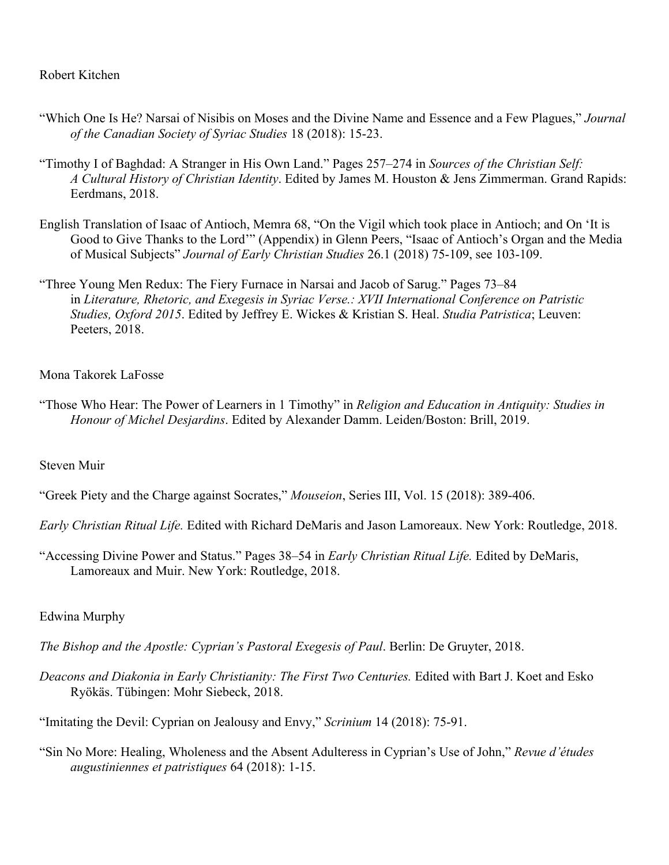## Robert Kitchen

- "Which One Is He? Narsai of Nisibis on Moses and the Divine Name and Essence and a Few Plagues," *Journal of the Canadian Society of Syriac Studies* 18 (2018): 15-23.
- "Timothy I of Baghdad: A Stranger in His Own Land." Pages 257–274 in *Sources of the Christian Self: A Cultural History of Christian Identity*. Edited by James M. Houston & Jens Zimmerman. Grand Rapids: Eerdmans, 2018.
- English Translation of Isaac of Antioch, Memra 68, "On the Vigil which took place in Antioch; and On 'It is Good to Give Thanks to the Lord'" (Appendix) in Glenn Peers, "Isaac of Antioch's Organ and the Media of Musical Subjects" *Journal of Early Christian Studies* 26.1 (2018) 75-109, see 103-109.
- "Three Young Men Redux: The Fiery Furnace in Narsai and Jacob of Sarug." Pages 73–84 in *Literature, Rhetoric, and Exegesis in Syriac Verse.: XVII International Conference on Patristic Studies, Oxford 2015*. Edited by Jeffrey E. Wickes & Kristian S. Heal. *Studia Patristica*; Leuven: Peeters, 2018.

## Mona Takorek LaFosse

"Those Who Hear: The Power of Learners in 1 Timothy" in *Religion and Education in Antiquity: Studies in Honour of Michel Desjardins*. Edited by Alexander Damm. Leiden/Boston: Brill, 2019.

#### Steven Muir

"Greek Piety and the Charge against Socrates," *Mouseion*, Series III, Vol. 15 (2018): 389-406.

*Early Christian Ritual Life.* Edited with Richard DeMaris and Jason Lamoreaux. New York: Routledge, 2018.

"Accessing Divine Power and Status." Pages 38–54 in *Early Christian Ritual Life.* Edited by DeMaris, Lamoreaux and Muir. New York: Routledge, 2018.

## Edwina Murphy

- *The Bishop and the Apostle: Cyprian's Pastoral Exegesis of Paul*. Berlin: De Gruyter, 2018.
- *Deacons and Diakonia in Early Christianity: The First Two Centuries.* Edited with Bart J. Koet and Esko Ryökäs. Tübingen: Mohr Siebeck, 2018.

"Imitating the Devil: Cyprian on Jealousy and Envy," *Scrinium* 14 (2018): 75-91.

"Sin No More: Healing, Wholeness and the Absent Adulteress in Cyprian's Use of John," *Revue d'études augustiniennes et patristiques* 64 (2018): 1-15.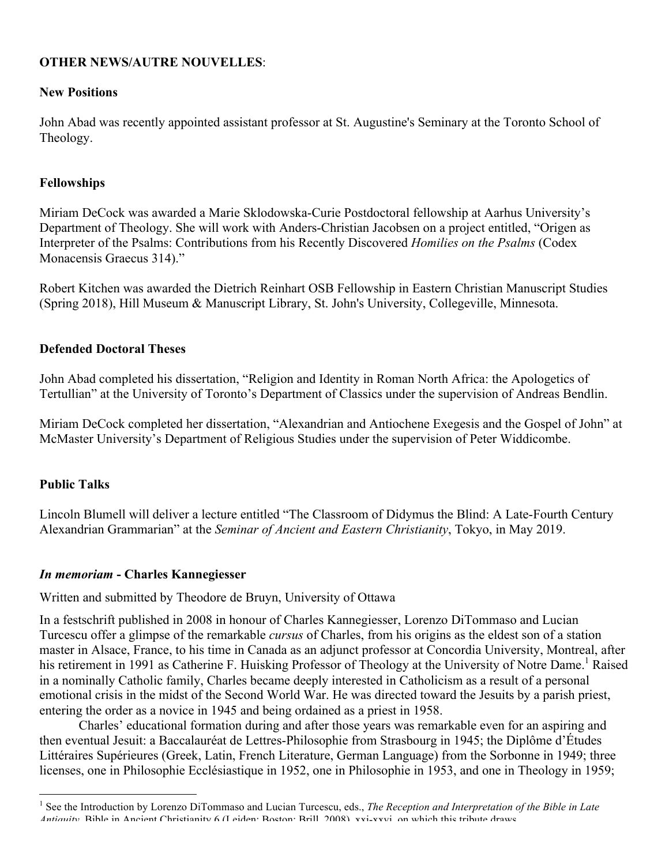## **OTHER NEWS/AUTRE NOUVELLES**:

#### **New Positions**

John Abad was recently appointed assistant professor at St. Augustine's Seminary at the Toronto School of Theology.

## **Fellowships**

Miriam DeCock was awarded a Marie Sklodowska-Curie Postdoctoral fellowship at Aarhus University's Department of Theology. She will work with Anders-Christian Jacobsen on a project entitled, "Origen as Interpreter of the Psalms: Contributions from his Recently Discovered *Homilies on the Psalms* (Codex Monacensis Graecus 314)."

Robert Kitchen was awarded the Dietrich Reinhart OSB Fellowship in Eastern Christian Manuscript Studies (Spring 2018), Hill Museum & Manuscript Library, St. John's University, Collegeville, Minnesota.

## **Defended Doctoral Theses**

John Abad completed his dissertation, "Religion and Identity in Roman North Africa: the Apologetics of Tertullian" at the University of Toronto's Department of Classics under the supervision of Andreas Bendlin.

Miriam DeCock completed her dissertation, "Alexandrian and Antiochene Exegesis and the Gospel of John" at McMaster University's Department of Religious Studies under the supervision of Peter Widdicombe.

## **Public Talks**

Lincoln Blumell will deliver a lecture entitled "The Classroom of Didymus the Blind: A Late-Fourth Century Alexandrian Grammarian" at the *Seminar of Ancient and Eastern Christianity*, Tokyo, in May 2019.

#### *In memoriam* **- Charles Kannegiesser**

Written and submitted by Theodore de Bruyn, University of Ottawa

In a festschrift published in 2008 in honour of Charles Kannegiesser, Lorenzo DiTommaso and Lucian Turcescu offer a glimpse of the remarkable *cursus* of Charles, from his origins as the eldest son of a station master in Alsace, France, to his time in Canada as an adjunct professor at Concordia University, Montreal, after his retirement in 1991 as Catherine F. Huisking Professor of Theology at the University of Notre Dame.<sup>1</sup> Raised in a nominally Catholic family, Charles became deeply interested in Catholicism as a result of a personal emotional crisis in the midst of the Second World War. He was directed toward the Jesuits by a parish priest, entering the order as a novice in 1945 and being ordained as a priest in 1958.

Charles' educational formation during and after those years was remarkable even for an aspiring and then eventual Jesuit: a Baccalauréat de Lettres-Philosophie from Strasbourg in 1945; the Diplôme d'Études Littéraires Supérieures (Greek, Latin, French Literature, German Language) from the Sorbonne in 1949; three licenses, one in Philosophie Ecclésiastique in 1952, one in Philosophie in 1953, and one in Theology in 1959;

 <sup>1</sup> See the Introduction by Lorenzo DiTommaso and Lucian Turcescu, eds., *The Reception and Interpretation of the Bible in Late Antiquity*, Bible in Ancient Christianity 6 (Leiden: Boston: Brill, 2008), vvi-vvvi, on which this tribute draws.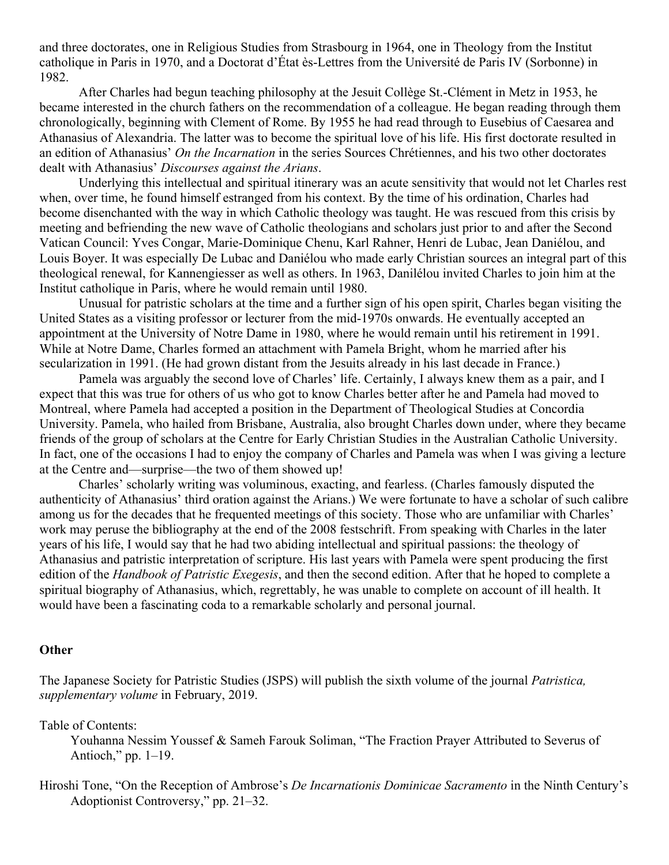and three doctorates, one in Religious Studies from Strasbourg in 1964, one in Theology from the Institut catholique in Paris in 1970, and a Doctorat d'État ès-Lettres from the Université de Paris IV (Sorbonne) in 1982.

After Charles had begun teaching philosophy at the Jesuit Collège St.-Clément in Metz in 1953, he became interested in the church fathers on the recommendation of a colleague. He began reading through them chronologically, beginning with Clement of Rome. By 1955 he had read through to Eusebius of Caesarea and Athanasius of Alexandria. The latter was to become the spiritual love of his life. His first doctorate resulted in an edition of Athanasius' *On the Incarnation* in the series Sources Chrétiennes, and his two other doctorates dealt with Athanasius' *Discourses against the Arians*.

Underlying this intellectual and spiritual itinerary was an acute sensitivity that would not let Charles rest when, over time, he found himself estranged from his context. By the time of his ordination, Charles had become disenchanted with the way in which Catholic theology was taught. He was rescued from this crisis by meeting and befriending the new wave of Catholic theologians and scholars just prior to and after the Second Vatican Council: Yves Congar, Marie-Dominique Chenu, Karl Rahner, Henri de Lubac, Jean Daniélou, and Louis Boyer. It was especially De Lubac and Daniélou who made early Christian sources an integral part of this theological renewal, for Kannengiesser as well as others. In 1963, Danilélou invited Charles to join him at the Institut catholique in Paris, where he would remain until 1980.

Unusual for patristic scholars at the time and a further sign of his open spirit, Charles began visiting the United States as a visiting professor or lecturer from the mid-1970s onwards. He eventually accepted an appointment at the University of Notre Dame in 1980, where he would remain until his retirement in 1991. While at Notre Dame, Charles formed an attachment with Pamela Bright, whom he married after his secularization in 1991. (He had grown distant from the Jesuits already in his last decade in France.)

Pamela was arguably the second love of Charles' life. Certainly, I always knew them as a pair, and I expect that this was true for others of us who got to know Charles better after he and Pamela had moved to Montreal, where Pamela had accepted a position in the Department of Theological Studies at Concordia University. Pamela, who hailed from Brisbane, Australia, also brought Charles down under, where they became friends of the group of scholars at the Centre for Early Christian Studies in the Australian Catholic University. In fact, one of the occasions I had to enjoy the company of Charles and Pamela was when I was giving a lecture at the Centre and—surprise—the two of them showed up!

Charles' scholarly writing was voluminous, exacting, and fearless. (Charles famously disputed the authenticity of Athanasius' third oration against the Arians.) We were fortunate to have a scholar of such calibre among us for the decades that he frequented meetings of this society. Those who are unfamiliar with Charles' work may peruse the bibliography at the end of the 2008 festschrift. From speaking with Charles in the later years of his life, I would say that he had two abiding intellectual and spiritual passions: the theology of Athanasius and patristic interpretation of scripture. His last years with Pamela were spent producing the first edition of the *Handbook of Patristic Exegesis*, and then the second edition. After that he hoped to complete a spiritual biography of Athanasius, which, regrettably, he was unable to complete on account of ill health. It would have been a fascinating coda to a remarkable scholarly and personal journal.

#### **Other**

The Japanese Society for Patristic Studies (JSPS) will publish the sixth volume of the journal *Patristica, supplementary volume* in February, 2019.

Table of Contents:

Youhanna Nessim Youssef & Sameh Farouk Soliman, "The Fraction Prayer Attributed to Severus of Antioch," pp. 1–19.

Hiroshi Tone, "On the Reception of Ambrose's *De Incarnationis Dominicae Sacramento* in the Ninth Century's Adoptionist Controversy," pp. 21–32.